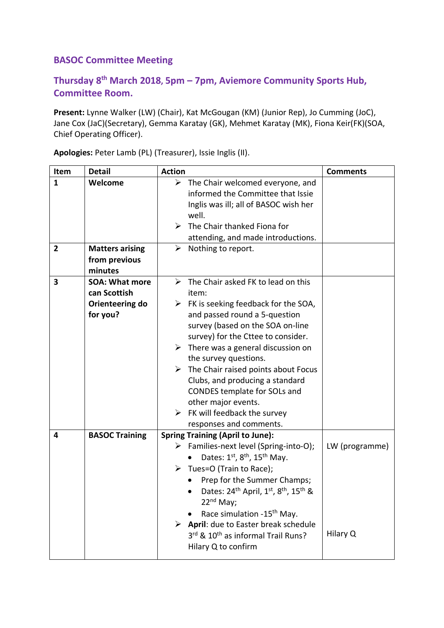## **BASOC Committee Meeting**

## **Thursday 8th March 2018, 5pm – 7pm, Aviemore Community Sports Hub, Committee Room.**

**Present:** Lynne Walker (LW) (Chair), Kat McGougan (KM) (Junior Rep), Jo Cumming (JoC), Jane Cox (JaC)(Secretary), Gemma Karatay (GK), Mehmet Karatay (MK), Fiona Keir(FK)(SOA, Chief Operating Officer).

| Item   | <b>Detail</b>                                                        | <b>Action</b>                                                                                                                                                                                                                                                                                                                                                                                                                                                                                                                   | <b>Comments</b>            |
|--------|----------------------------------------------------------------------|---------------------------------------------------------------------------------------------------------------------------------------------------------------------------------------------------------------------------------------------------------------------------------------------------------------------------------------------------------------------------------------------------------------------------------------------------------------------------------------------------------------------------------|----------------------------|
| 1<br>2 | Welcome<br><b>Matters arising</b>                                    | $\triangleright$ The Chair welcomed everyone, and<br>informed the Committee that Issie<br>Inglis was ill; all of BASOC wish her<br>well.<br>The Chair thanked Fiona for<br>➤<br>attending, and made introductions.<br>➤<br>Nothing to report.                                                                                                                                                                                                                                                                                   |                            |
|        | from previous<br>minutes                                             |                                                                                                                                                                                                                                                                                                                                                                                                                                                                                                                                 |                            |
| 3      | <b>SOA: What more</b><br>can Scottish<br>Orienteering do<br>for you? | $\triangleright$ The Chair asked FK to lead on this<br>item:<br>$\triangleright$ FK is seeking feedback for the SOA,<br>and passed round a 5-question<br>survey (based on the SOA on-line<br>survey) for the Cttee to consider.<br>$\triangleright$ There was a general discussion on<br>the survey questions.<br>The Chair raised points about Focus<br>➤<br>Clubs, and producing a standard<br>CONDES template for SOLs and<br>other major events.<br>$\triangleright$ FK will feedback the survey<br>responses and comments. |                            |
| 4      | <b>BASOC Training</b>                                                | <b>Spring Training (April to June):</b><br>$\triangleright$ Families-next level (Spring-into-O);<br>Dates: 1 <sup>st</sup> , 8 <sup>th</sup> , 15 <sup>th</sup> May.<br>$\triangleright$ Tues=O (Train to Race);<br>Prep for the Summer Champs;<br>Dates: 24 <sup>th</sup> April, 1st, 8 <sup>th</sup> , 15 <sup>th</sup> &<br>22 <sup>nd</sup> May;<br>Race simulation -15 <sup>th</sup> May.<br>$\triangleright$ April: due to Easter break schedule<br>3rd & 10 <sup>th</sup> as informal Trail Runs?<br>Hilary Q to confirm | LW (programme)<br>Hilary Q |

**Apologies:** Peter Lamb (PL) (Treasurer), Issie Inglis (II).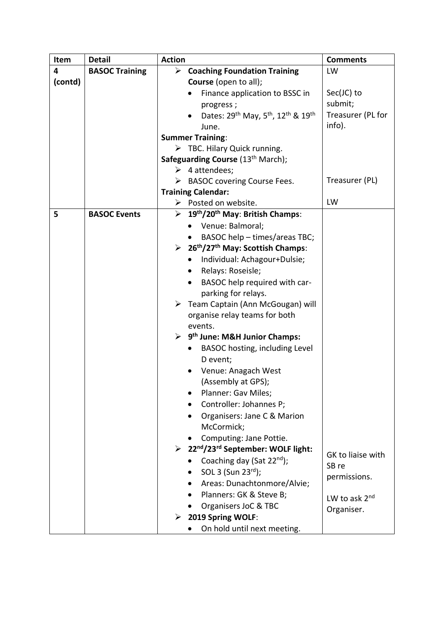| Item    | <b>Detail</b>         | <b>Action</b>                                                            | <b>Comments</b>    |
|---------|-----------------------|--------------------------------------------------------------------------|--------------------|
| 4       | <b>BASOC Training</b> | $\triangleright$ Coaching Foundation Training                            | LW                 |
| (contd) |                       | Course (open to all);                                                    |                    |
|         |                       | Finance application to BSSC in                                           | $Sec(JC)$ to       |
|         |                       | progress;                                                                | submit;            |
|         |                       | Dates: 29th May, 5th, 12th & 19th                                        | Treasurer (PL for  |
|         |                       | June.                                                                    | info).             |
|         |                       | <b>Summer Training:</b>                                                  |                    |
|         |                       | $\triangleright$ TBC. Hilary Quick running.                              |                    |
|         |                       | Safeguarding Course (13th March);                                        |                    |
|         |                       | $\triangleright$ 4 attendees;                                            |                    |
|         |                       | $\triangleright$ BASOC covering Course Fees.                             | Treasurer (PL)     |
|         |                       | <b>Training Calendar:</b>                                                |                    |
|         |                       | $\triangleright$ Posted on website.                                      | LW                 |
| 5       | <b>BASOC Events</b>   | $\triangleright$ 19 <sup>th</sup> /20 <sup>th</sup> May: British Champs: |                    |
|         |                       | Venue: Balmoral;                                                         |                    |
|         |                       | BASOC help - times/areas TBC;                                            |                    |
|         |                       | $\geq 26^{\text{th}}/27^{\text{th}}$ May: Scottish Champs:               |                    |
|         |                       | Individual: Achagour+Dulsie;<br>٠                                        |                    |
|         |                       | Relays: Roseisle;                                                        |                    |
|         |                       | BASOC help required with car-                                            |                    |
|         |                       | parking for relays.                                                      |                    |
|         |                       | > Team Captain (Ann McGougan) will                                       |                    |
|         |                       | organise relay teams for both                                            |                    |
|         |                       | events.                                                                  |                    |
|         |                       | $\triangleright$ 9 <sup>th</sup> June: M&H Junior Champs:                |                    |
|         |                       | BASOC hosting, including Level<br>$\bullet$                              |                    |
|         |                       | D event;                                                                 |                    |
|         |                       | Venue: Anagach West                                                      |                    |
|         |                       | (Assembly at GPS);                                                       |                    |
|         |                       | Planner: Gav Miles;                                                      |                    |
|         |                       | Controller: Johannes P;                                                  |                    |
|         |                       | Organisers: Jane C & Marion                                              |                    |
|         |                       | McCormick;                                                               |                    |
|         |                       | Computing: Jane Pottie.                                                  |                    |
|         |                       | > 22nd/23rd September: WOLF light:                                       | GK to liaise with  |
|         |                       | Coaching day (Sat 22 <sup>nd</sup> );                                    | SB re              |
|         |                       | SOL 3 (Sun 23rd);                                                        | permissions.       |
|         |                       | Areas: Dunachtonmore/Alvie;                                              |                    |
|         |                       | Planners: GK & Steve B;                                                  | LW to ask $2^{nd}$ |
|         |                       | Organisers JoC & TBC                                                     | Organiser.         |
|         |                       | $\triangleright$ 2019 Spring WOLF:                                       |                    |
|         |                       | On hold until next meeting.                                              |                    |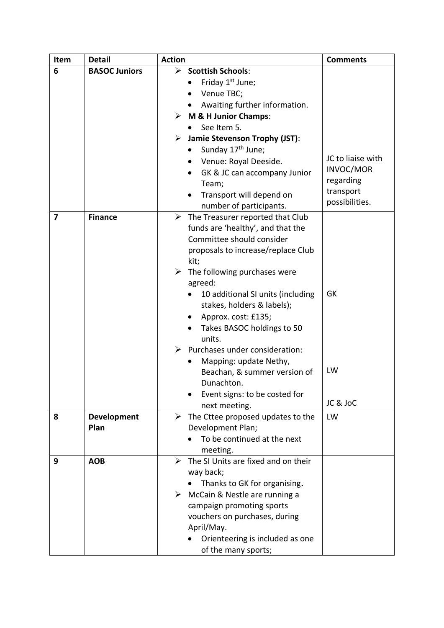| Item | <b>Detail</b>        | <b>Action</b>                                         | <b>Comments</b>        |
|------|----------------------|-------------------------------------------------------|------------------------|
| 6    | <b>BASOC Juniors</b> | $\triangleright$ Scottish Schools:                    |                        |
|      |                      | Friday 1 <sup>st</sup> June;                          |                        |
|      |                      | Venue TBC;                                            |                        |
|      |                      | Awaiting further information.<br>$\bullet$            |                        |
|      |                      | $\triangleright$ M & H Junior Champs:                 |                        |
|      |                      | See Item 5.                                           |                        |
|      |                      | <b>Jamie Stevenson Trophy (JST):</b>                  |                        |
|      |                      | Sunday 17 <sup>th</sup> June;<br>$\bullet$            |                        |
|      |                      | Venue: Royal Deeside.<br>$\bullet$                    | JC to liaise with      |
|      |                      | GK & JC can accompany Junior<br>$\bullet$             | INVOC/MOR<br>regarding |
|      |                      | Team;                                                 | transport              |
|      |                      | Transport will depend on<br>$\bullet$                 | possibilities.         |
|      |                      | number of participants.                               |                        |
| 7    | <b>Finance</b>       | $\triangleright$ The Treasurer reported that Club     |                        |
|      |                      | funds are 'healthy', and that the                     |                        |
|      |                      | Committee should consider                             |                        |
|      |                      | proposals to increase/replace Club                    |                        |
|      |                      | kit;<br>$\triangleright$ The following purchases were |                        |
|      |                      | agreed:                                               |                        |
|      |                      | 10 additional SI units (including                     | GK                     |
|      |                      | stakes, holders & labels);                            |                        |
|      |                      | Approx. cost: £135;                                   |                        |
|      |                      | Takes BASOC holdings to 50                            |                        |
|      |                      | units.                                                |                        |
|      |                      | $\triangleright$ Purchases under consideration:       |                        |
|      |                      | Mapping: update Nethy,<br>$\bullet$                   |                        |
|      |                      | Beachan, & summer version of                          | LW                     |
|      |                      | Dunachton.                                            |                        |
|      |                      | Event signs: to be costed for                         |                        |
|      |                      | next meeting.                                         | JC & JoC               |
| 8    | Development          | The Cttee proposed updates to the<br>➤                | LW                     |
|      | Plan                 | Development Plan;                                     |                        |
|      |                      | To be continued at the next                           |                        |
|      |                      | meeting.                                              |                        |
| 9    | <b>AOB</b>           | The SI Units are fixed and on their<br>➤              |                        |
|      |                      | way back;                                             |                        |
|      |                      | Thanks to GK for organising.                          |                        |
|      |                      | McCain & Nestle are running a<br>➤                    |                        |
|      |                      | campaign promoting sports                             |                        |
|      |                      | vouchers on purchases, during                         |                        |
|      |                      | April/May.                                            |                        |
|      |                      | Orienteering is included as one                       |                        |
|      |                      | of the many sports;                                   |                        |